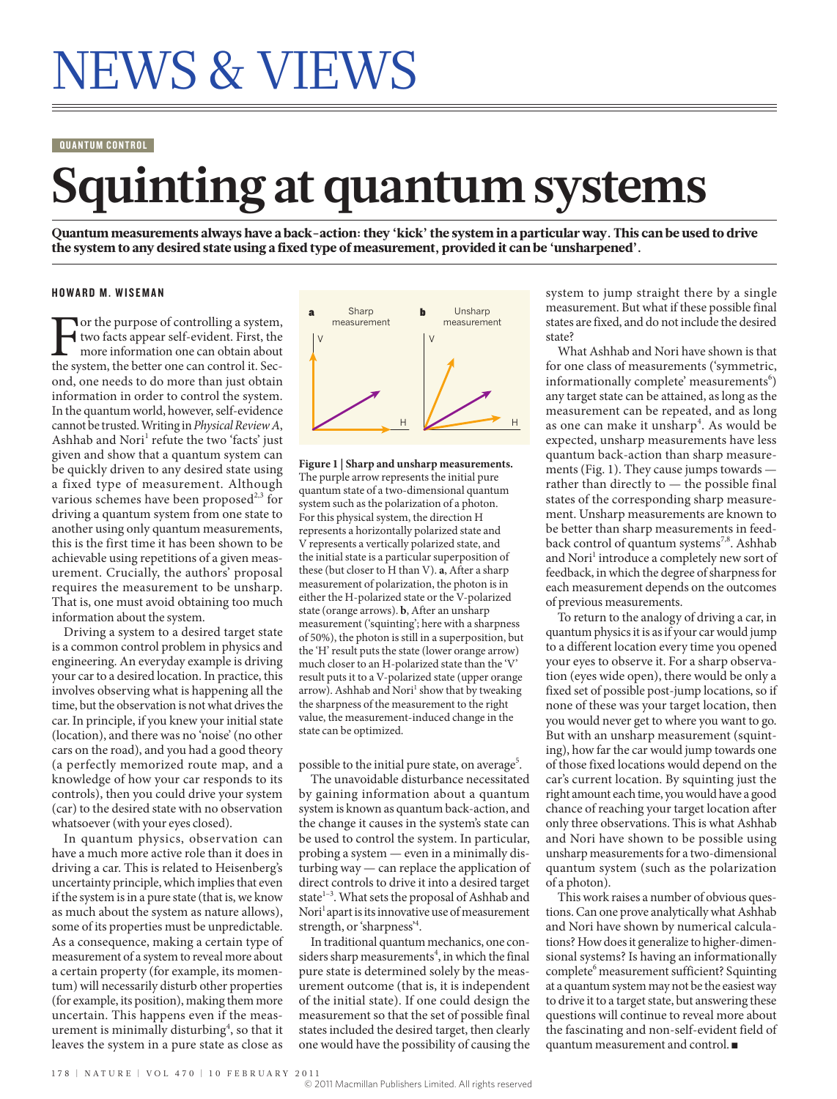# NEWS & VIEWS

#### QUANTUM CONTROL

# **Squinting at quantum systems**

Quantum measurements always have a back-action: they 'kick' the system in a particular way. This can be used to drive the system to any desired state using a fixed type of measurement, provided it can be 'unsharpened'.

#### HOWARD M. WISEMAN

Tor the purpose of controlling a system,<br>two facts appear self-evident. First, the<br>more information one can obtain about<br>the system, the better one can control it. Sectwo facts appear self-evident. First, the more information one can obtain about ond, one needs to do more than just obtain information in order to control the system. In the quantum world, however, self-evidence cannot be trusted. Writing in *Physical Review A*, Ashhab and Nori<sup>1</sup> refute the two 'facts' just given and show that a quantum system can be quickly driven to any desired state using a fixed type of measurement. Although various schemes have been proposed<sup>2,3</sup> for driving a quantum system from one state to another using only quantum measurements, this is the first time it has been shown to be achievable using repetitions of a given measurement. Crucially, the authors' proposal requires the measurement to be unsharp. That is, one must avoid obtaining too much information about the system.

Driving a system to a desired target state is a common control problem in physics and engineering. An everyday example is driving your car to a desired location. In practice, this involves observing what is happening all the time, but the observation is not what drives the car. In principle, if you knew your initial state (location), and there was no 'noise' (no other cars on the road), and you had a good theory (a perfectly memorized route map, and a knowledge of how your car responds to its controls), then you could drive your system (car) to the desired state with no observation whatsoever (with your eyes closed).

In quantum physics, observation can have a much more active role than it does in driving a car. This is related to Heisenberg's uncertainty principle, which implies that even if the system is in a pure state (that is, we know as much about the system as nature allows), some of its properties must be unpredictable. As a consequence, making a certain type of measurement of a system to reveal more about a certain property (for example, its momentum) will necessarily disturb other properties (for example, its position), making them more uncertain. This happens even if the measurement is minimally disturbing<sup>4</sup>, so that it leaves the system in a pure state as close as



**Figure 1 | Sharp and unsharp measurements.** The purple arrow represents the initial pure quantum state of a two-dimensional quantum system such as the polarization of a photon. For this physical system, the direction H represents a horizontally polarized state and V represents a vertically polarized state, and the initial state is a particular superposition of these (but closer to H than V). **a**, After a sharp measurement of polarization, the photon is in either the H-polarized state or the V-polarized state (orange arrows). **b**, After an unsharp measurement ('squinting'; here with a sharpness of 50%), the photon is still in a superposition, but the 'H' result puts the state (lower orange arrow) much closer to an H-polarized state than the 'V' result puts it to a V-polarized state (upper orange arrow). Ashhab and Nori<sup>1</sup> show that by tweaking the sharpness of the measurement to the right value, the measurement-induced change in the state can be optimized.

possible to the initial pure state, on average<sup>5</sup>.

The unavoidable disturbance necessitated by gaining information about a quantum system is known as quantum back-action, and the change it causes in the system's state can be used to control the system. In particular, probing a system — even in a minimally disturbing way — can replace the application of direct controls to drive it into a desired target state<sup>1-3</sup>. What sets the proposal of Ashhab and Nori<sup>1</sup> apart is its innovative use of measurement strength, or 'sharpness'4 .

In traditional quantum mechanics, one considers sharp measurements<sup>4</sup>, in which the final pure state is determined solely by the measurement outcome (that is, it is independent of the initial state). If one could design the measurement so that the set of possible final states included the desired target, then clearly one would have the possibility of causing the

system to jump straight there by a single measurement. But what if these possible final states are fixed, and do not include the desired state?

What Ashhab and Nori have shown is that for one class of measurements ('symmetric, informationally complete' measurements<sup>6</sup>) any target state can be attained, as long as the measurement can be repeated, and as long as one can make it unsharp<sup>4</sup>. As would be expected, unsharp measurements have less quantum back-action than sharp measurements (Fig. 1). They cause jumps towards rather than directly to — the possible final states of the corresponding sharp measurement. Unsharp measurements are known to be better than sharp measurements in feedback control of quantum systems<sup>7,8</sup>. Ashhab and Nori<sup>1</sup> introduce a completely new sort of feedback, in which the degree of sharpness for each measurement depends on the outcomes of previous measurements.

To return to the analogy of driving a car, in quantum physics it is as if your car would jump to a different location every time you opened your eyes to observe it. For a sharp observation (eyes wide open), there would be only a fixed set of possible post-jump locations, so if none of these was your target location, then you would never get to where you want to go. But with an unsharp measurement (squinting), how far the car would jump towards one of those fixed locations would depend on the car's current location. By squinting just the right amount each time, you would have a good chance of reaching your target location after only three observations. This is what Ashhab and Nori have shown to be possible using unsharp measurements for a two-dimensional quantum system (such as the polarization of a photon).

This work raises a number of obvious questions. Can one prove analytically what Ashhab and Nori have shown by numerical calculations? How does it generalize to higher-dimensional systems? Is having an informationally complete<sup>6</sup> measurement sufficient? Squinting at a quantum system may not be the easiest way to drive it to a target state, but answering these questions will continue to reveal more about the fascinating and non-self-evident field of quantum measurement and control. ■